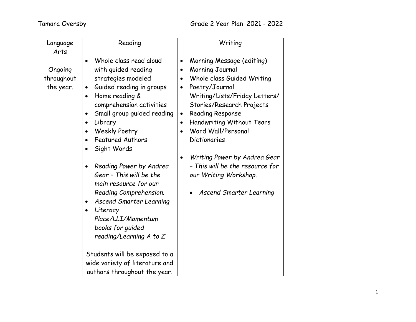| Language<br>Arts                   | Reading                                                                                                                                                                                                                                                                                                                                                                                                                                                                                                                                                                                                                                                         | Writing                                                                                                                                                                                                                                                                                                                                                                                                                                                                           |
|------------------------------------|-----------------------------------------------------------------------------------------------------------------------------------------------------------------------------------------------------------------------------------------------------------------------------------------------------------------------------------------------------------------------------------------------------------------------------------------------------------------------------------------------------------------------------------------------------------------------------------------------------------------------------------------------------------------|-----------------------------------------------------------------------------------------------------------------------------------------------------------------------------------------------------------------------------------------------------------------------------------------------------------------------------------------------------------------------------------------------------------------------------------------------------------------------------------|
| Ongoing<br>throughout<br>the year. | Whole class read aloud<br>$\bullet$<br>with guided reading<br>strategies modeled<br>Guided reading in groups<br>$\bullet$<br>Home reading &<br>$\bullet$<br>comprehension activities<br>Small group guided reading<br>$\bullet$<br>Library<br>$\bullet$<br><b>Weekly Poetry</b><br><b>Featured Authors</b><br>Sight Words<br>$\bullet$<br>Reading Power by Andrea<br>$\bullet$<br>Gear - This will be the<br>main resource for our<br>Reading Comprehension.<br><b>Ascend Smarter Learning</b><br>Literacy<br>$\bullet$<br>Place/LLI/Momentum<br>books for guided<br>reading/Learning A to Z<br>Students will be exposed to a<br>wide variety of literature and | Morning Message (editing)<br>$\bullet$<br>Morning Journal<br>$\bullet$<br>Whole class Guided Writing<br>$\bullet$<br>Poetry/Journal<br>$\bullet$<br>Writing/Lists/Friday Letters/<br>Stories/Research Projects<br><b>Reading Response</b><br>$\bullet$<br>Handwriting Without Tears<br>$\bullet$<br>Word Wall/Personal<br>Dictionaries<br>Writing Power by Andrea Gear<br>$\bullet$<br>- This will be the resource for<br>our Writing Workshop.<br><b>Ascend Smarter Learning</b> |
|                                    | authors throughout the year.                                                                                                                                                                                                                                                                                                                                                                                                                                                                                                                                                                                                                                    |                                                                                                                                                                                                                                                                                                                                                                                                                                                                                   |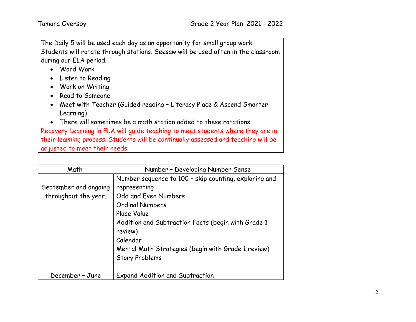The Daily 5 will be used each day as an opportunity for small group work. Students will rotate through stations. Seesaw will be used often in the classroom during our ELA period.

- Word Work
- Listen to Reading
- Work on Writing
- Read to Someone
- Meet with Teacher (Guided reading Literacy Place & Ascend Smarter Learning)
- There will sometimes be a math station added to these rotations.

Recovery Learning in ELA will guide teaching to meet students where they are in their learning process. Students will be continually assessed and teaching will be adjusted to meet their needs.

| Math                                          | Number - Developing Number Sense                                                                                                                                                                                                                                                                   |  |  |
|-----------------------------------------------|----------------------------------------------------------------------------------------------------------------------------------------------------------------------------------------------------------------------------------------------------------------------------------------------------|--|--|
| September and ongoing<br>throughout the year. | Number sequence to 100 - skip counting, exploring and<br>representing<br>Odd and Even Numbers<br><b>Ordinal Numbers</b><br>Place Value<br>Addition and Subtraction Facts (begin with Grade 1<br>review)<br>Calendar<br>Mental Math Strategies (begin with Grade 1 review)<br><b>Story Problems</b> |  |  |
| December - June                               | <b>Expand Addition and Subtraction</b>                                                                                                                                                                                                                                                             |  |  |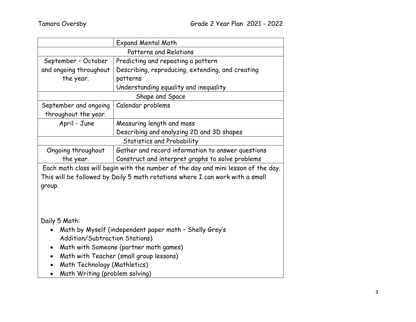| <b>Expand Mental Math</b>                                                     |                                                                                   |  |  |  |
|-------------------------------------------------------------------------------|-----------------------------------------------------------------------------------|--|--|--|
| <b>Patterns and Relations</b>                                                 |                                                                                   |  |  |  |
| September - October                                                           | Predicting and repeating a pattern                                                |  |  |  |
| and ongoing throughout                                                        | Describing, reproducing, extending, and creating                                  |  |  |  |
| the year.                                                                     | patterns                                                                          |  |  |  |
| Understanding equality and inequality                                         |                                                                                   |  |  |  |
|                                                                               | Shape and Space                                                                   |  |  |  |
| Calendar problems<br>September and ongoing                                    |                                                                                   |  |  |  |
| throughout the year.                                                          |                                                                                   |  |  |  |
| April - June                                                                  | Measuring length and mass                                                         |  |  |  |
|                                                                               | Describing and analyzing 2D and 3D shapes                                         |  |  |  |
| <b>Statistics and Probability</b>                                             |                                                                                   |  |  |  |
| Ongoing throughout                                                            | Gather and record information to answer questions                                 |  |  |  |
| the year.                                                                     | Construct and interpret graphs to solve problems                                  |  |  |  |
|                                                                               | Each math class will begin with the number of the day and mini lesson of the day. |  |  |  |
| This will be followed by Daily 5 math rotations where I can work with a small |                                                                                   |  |  |  |
| group.                                                                        |                                                                                   |  |  |  |
|                                                                               |                                                                                   |  |  |  |
|                                                                               |                                                                                   |  |  |  |
|                                                                               |                                                                                   |  |  |  |
| Daily 5 Math:                                                                 |                                                                                   |  |  |  |
| Math by Myself (independent paper math - Shelly Grey's<br>$\bullet$           |                                                                                   |  |  |  |
| Addition/Subtraction Stations)                                                |                                                                                   |  |  |  |
| Math with Someone (partner math games)<br>$\bullet$                           |                                                                                   |  |  |  |
| Math with Teacher (small group lessons)<br>$\bullet$                          |                                                                                   |  |  |  |
| Math Technology (Mathletics)                                                  |                                                                                   |  |  |  |
| Math Writing (problem solving)                                                |                                                                                   |  |  |  |
|                                                                               |                                                                                   |  |  |  |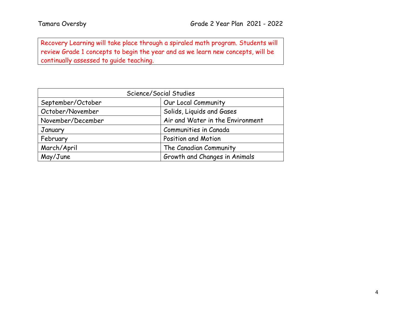Recovery Learning will take place through a spiraled math program. Students will review Grade 1 concepts to begin the year and as we learn new concepts, will be continually assessed to guide teaching.

| Science/Social Studies |                                  |  |  |  |
|------------------------|----------------------------------|--|--|--|
| September/October      | Our Local Community              |  |  |  |
| October/November       | Solids, Liquids and Gases        |  |  |  |
| November/December      | Air and Water in the Environment |  |  |  |
| January                | Communities in Canada            |  |  |  |
| February               | Position and Motion              |  |  |  |
| March/April            | The Canadian Community           |  |  |  |
| May/June               | Growth and Changes in Animals    |  |  |  |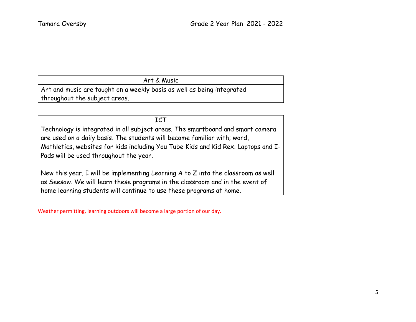## Art & Music

Art and music are taught on a weekly basis as well as being integrated throughout the subject areas.

## ICT

Technology is integrated in all subject areas. The smartboard and smart camera are used on a daily basis. The students will become familiar with; word, Mathletics, websites for kids including You Tube Kids and Kid Rex. Laptops and I-Pads will be used throughout the year.

New this year, I will be implementing Learning A to Z into the classroom as well as Seesaw. We will learn these programs in the classroom and in the event of home learning students will continue to use these programs at home.

Weather permitting, learning outdoors will become a large portion of our day.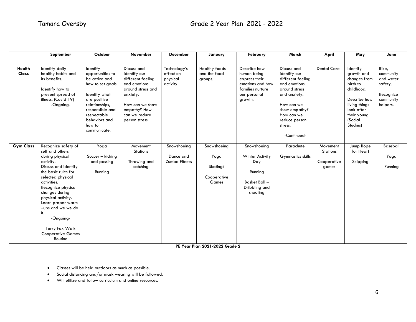|                        | September                                                                                                                                                                                                                                                                                                                                      | October                                                                                                                                                                                            | November                                                                                                                                                                | <b>December</b>                                    | January                                                 | February                                                                                                        | March                                                                                                                                                                                     | April                                        | May                                                                                                                                                    | June                                                                             |
|------------------------|------------------------------------------------------------------------------------------------------------------------------------------------------------------------------------------------------------------------------------------------------------------------------------------------------------------------------------------------|----------------------------------------------------------------------------------------------------------------------------------------------------------------------------------------------------|-------------------------------------------------------------------------------------------------------------------------------------------------------------------------|----------------------------------------------------|---------------------------------------------------------|-----------------------------------------------------------------------------------------------------------------|-------------------------------------------------------------------------------------------------------------------------------------------------------------------------------------------|----------------------------------------------|--------------------------------------------------------------------------------------------------------------------------------------------------------|----------------------------------------------------------------------------------|
|                        |                                                                                                                                                                                                                                                                                                                                                |                                                                                                                                                                                                    |                                                                                                                                                                         |                                                    |                                                         |                                                                                                                 |                                                                                                                                                                                           |                                              |                                                                                                                                                        |                                                                                  |
| <b>Health</b><br>Class | Identify daily<br>healthy habits and<br>its benefits.<br>Identify how to<br>prevent spread of<br>illness. (Covid 19)<br>-Ongoing-                                                                                                                                                                                                              | Identify<br>opportunities to<br>be active and<br>how to set goals.<br>Identify what<br>are positive<br>relationships,<br>responsible and<br>respectable<br>behaviors and<br>how to<br>communicate. | Discuss and<br>identify our<br>different feeling<br>and emotions<br>around stress and<br>anxiety.<br>How can we show<br>empathy? How<br>can we reduce<br>person stress. | Technology's<br>effect on<br>physical<br>activity. | Healthy foods<br>and the food<br>groups.                | Describe how<br>human being<br>express their<br>emotions and how<br>families nurture<br>our personal<br>growth. | Discuss and<br>identify our<br>different feeling<br>and emotions<br>around stress<br>and anxiety.<br>How can we<br>show empathy?<br>How can we<br>reduce person<br>stress.<br>-Continued- | <b>Dental Care</b>                           | Identify<br>growth and<br>changes from<br>birth to<br>childhood.<br>Describe how<br>living things<br>look after<br>their young.<br>(Social<br>Studies) | Bike,<br>community<br>and water<br>safety.<br>Recognize<br>community<br>helpers. |
| <b>Gym Class</b>       | Recognize safety of<br>self and others<br>during physical<br>activity.<br>Discuss and identify<br>the basic rules for<br>selected physical<br>activities.<br>Recognize physical<br>changes during<br>physical activity.<br>Learn proper warm<br>-ups and we we do<br>it.<br>-Ongoing-<br>Terry Fox Walk<br><b>Cooperative Games</b><br>Routine | Yoga<br>Soccer - kicking<br>and passing<br>Running                                                                                                                                                 | Movement<br><b>Stations</b><br>Throwing and<br>catching                                                                                                                 | Snowshoeing<br>Dance and<br><b>Zumba Fitness</b>   | Snowshoeing<br>Yoga<br>Skating?<br>Cooperative<br>Games | Snowshoeing<br>Winter Activity<br>Day<br>Running<br>Basket Ball -<br>Dribbling and<br>shooting                  | Parachute<br>Gymnastics skills                                                                                                                                                            | Movement<br>Stations<br>Cooperative<br>games | Jump Rope<br>for Heart<br>Skipping                                                                                                                     | Baseball<br>Yoga<br>Running                                                      |

**PE Year Plan 2021-2022 Grade 2**

- Classes will be held outdoors as much as possible.
- Social distancing and/or mask wearing will be followed.
- Will utilize and follow curriculum and online resources.